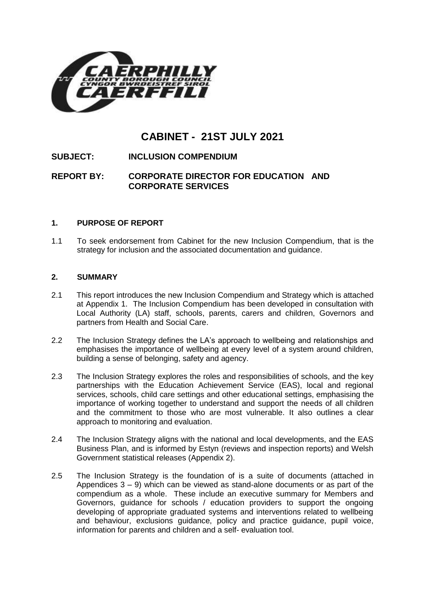

# **CABINET - 21ST JULY 2021**

# **SUBJECT: INCLUSION COMPENDIUM**

# **REPORT BY: CORPORATE DIRECTOR FOR EDUCATION AND CORPORATE SERVICES**

#### **1. PURPOSE OF REPORT**

1.1 To seek endorsement from Cabinet for the new Inclusion Compendium, that is the strategy for inclusion and the associated documentation and guidance.

#### **2. SUMMARY**

- 2.1 This report introduces the new Inclusion Compendium and Strategy which is attached at Appendix 1. The Inclusion Compendium has been developed in consultation with Local Authority (LA) staff, schools, parents, carers and children, Governors and partners from Health and Social Care.
- 2.2 The Inclusion Strategy defines the LA's approach to wellbeing and relationships and emphasises the importance of wellbeing at every level of a system around children, building a sense of belonging, safety and agency.
- 2.3 The Inclusion Strategy explores the roles and responsibilities of schools, and the key partnerships with the Education Achievement Service (EAS), local and regional services, schools, child care settings and other educational settings, emphasising the importance of working together to understand and support the needs of all children and the commitment to those who are most vulnerable. It also outlines a clear approach to monitoring and evaluation.
- 2.4 The Inclusion Strategy aligns with the national and local developments, and the EAS Business Plan, and is informed by Estyn (reviews and inspection reports) and Welsh Government statistical releases (Appendix 2).
- 2.5 The Inclusion Strategy is the foundation of is a suite of documents (attached in Appendices  $3 - 9$ ) which can be viewed as stand-alone documents or as part of the compendium as a whole. These include an executive summary for Members and Governors, guidance for schools / education providers to support the ongoing developing of appropriate graduated systems and interventions related to wellbeing and behaviour, exclusions guidance, policy and practice guidance, pupil voice, information for parents and children and a self- evaluation tool.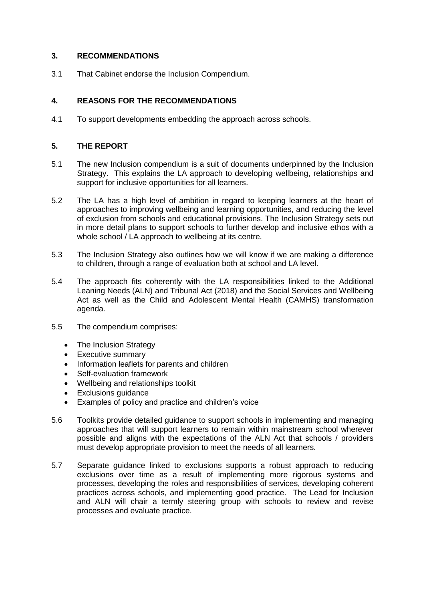## **3. RECOMMENDATIONS**

3.1 That Cabinet endorse the Inclusion Compendium.

# **4. REASONS FOR THE RECOMMENDATIONS**

4.1 To support developments embedding the approach across schools.

#### **5. THE REPORT**

- 5.1 The new Inclusion compendium is a suit of documents underpinned by the Inclusion Strategy. This explains the LA approach to developing wellbeing, relationships and support for inclusive opportunities for all learners.
- 5.2 The LA has a high level of ambition in regard to keeping learners at the heart of approaches to improving wellbeing and learning opportunities, and reducing the level of exclusion from schools and educational provisions. The Inclusion Strategy sets out in more detail plans to support schools to further develop and inclusive ethos with a whole school / LA approach to wellbeing at its centre.
- 5.3 The Inclusion Strategy also outlines how we will know if we are making a difference to children, through a range of evaluation both at school and LA level.
- 5.4 The approach fits coherently with the LA responsibilities linked to the Additional Leaning Needs (ALN) and Tribunal Act (2018) and the Social Services and Wellbeing Act as well as the Child and Adolescent Mental Health (CAMHS) transformation agenda.
- 5.5 The compendium comprises:
	- The Inclusion Strategy
	- Executive summary
	- Information leaflets for parents and children
	- Self-evaluation framework
	- Wellbeing and relationships toolkit
	- Exclusions quidance
	- Examples of policy and practice and children's voice
- 5.6 Toolkits provide detailed guidance to support schools in implementing and managing approaches that will support learners to remain within mainstream school wherever possible and aligns with the expectations of the ALN Act that schools / providers must develop appropriate provision to meet the needs of all learners.
- 5.7 Separate guidance linked to exclusions supports a robust approach to reducing exclusions over time as a result of implementing more rigorous systems and processes, developing the roles and responsibilities of services, developing coherent practices across schools, and implementing good practice. The Lead for Inclusion and ALN will chair a termly steering group with schools to review and revise processes and evaluate practice.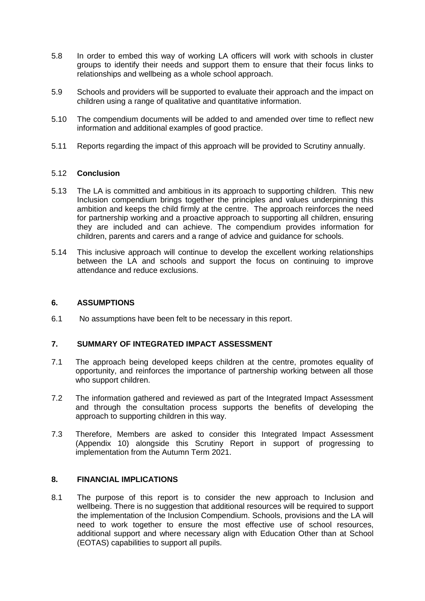- 5.8 In order to embed this way of working LA officers will work with schools in cluster groups to identify their needs and support them to ensure that their focus links to relationships and wellbeing as a whole school approach.
- 5.9 Schools and providers will be supported to evaluate their approach and the impact on children using a range of qualitative and quantitative information.
- 5.10 The compendium documents will be added to and amended over time to reflect new information and additional examples of good practice.
- 5.11 Reports regarding the impact of this approach will be provided to Scrutiny annually.

#### 5.12 **Conclusion**

- 5.13 The LA is committed and ambitious in its approach to supporting children. This new Inclusion compendium brings together the principles and values underpinning this ambition and keeps the child firmly at the centre. The approach reinforces the need for partnership working and a proactive approach to supporting all children, ensuring they are included and can achieve. The compendium provides information for children, parents and carers and a range of advice and guidance for schools.
- 5.14 This inclusive approach will continue to develop the excellent working relationships between the LA and schools and support the focus on continuing to improve attendance and reduce exclusions.

#### **6. ASSUMPTIONS**

6.1 No assumptions have been felt to be necessary in this report.

#### **7. SUMMARY OF INTEGRATED IMPACT ASSESSMENT**

- 7.1 The approach being developed keeps children at the centre, promotes equality of opportunity, and reinforces the importance of partnership working between all those who support children.
- 7.2 The information gathered and reviewed as part of the Integrated Impact Assessment and through the consultation process supports the benefits of developing the approach to supporting children in this way.
- 7.3 Therefore, Members are asked to consider this Integrated Impact Assessment (Appendix 10) alongside this Scrutiny Report in support of progressing to implementation from the Autumn Term 2021.

#### **8. FINANCIAL IMPLICATIONS**

8.1 The purpose of this report is to consider the new approach to Inclusion and wellbeing. There is no suggestion that additional resources will be required to support the implementation of the Inclusion Compendium. Schools, provisions and the LA will need to work together to ensure the most effective use of school resources, additional support and where necessary align with Education Other than at School (EOTAS) capabilities to support all pupils.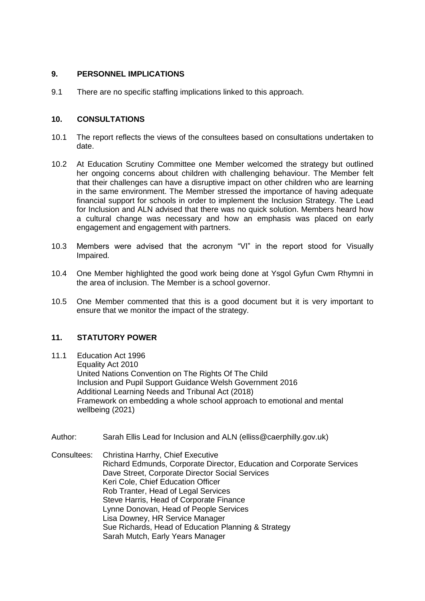#### **9. PERSONNEL IMPLICATIONS**

9.1 There are no specific staffing implications linked to this approach.

## **10. CONSULTATIONS**

- 10.1 The report reflects the views of the consultees based on consultations undertaken to date.
- 10.2 At Education Scrutiny Committee one Member welcomed the strategy but outlined her ongoing concerns about children with challenging behaviour. The Member felt that their challenges can have a disruptive impact on other children who are learning in the same environment. The Member stressed the importance of having adequate financial support for schools in order to implement the Inclusion Strategy. The Lead for Inclusion and ALN advised that there was no quick solution. Members heard how a cultural change was necessary and how an emphasis was placed on early engagement and engagement with partners.
- 10.3 Members were advised that the acronym "VI" in the report stood for Visually Impaired.
- 10.4 One Member highlighted the good work being done at Ysgol Gyfun Cwm Rhymni in the area of inclusion. The Member is a school governor.
- 10.5 One Member commented that this is a good document but it is very important to ensure that we monitor the impact of the strategy.

# **11. STATUTORY POWER**

- 11.1 Education Act 1996 Equality Act 2010 United Nations Convention on The Rights Of The Child Inclusion and Pupil Support Guidance Welsh Government 2016 Additional Learning Needs and Tribunal Act (2018) Framework on embedding a whole school approach to emotional and mental wellbeing (2021)
- Author: Sarah Ellis Lead for Inclusion and ALN (elliss@caerphilly.gov.uk)

Consultees: Christina Harrhy, Chief Executive Richard Edmunds, Corporate Director, Education and Corporate Services Dave Street, Corporate Director Social Services Keri Cole, Chief Education Officer Rob Tranter, Head of Legal Services Steve Harris, Head of Corporate Finance Lynne Donovan, Head of People Services Lisa Downey, HR Service Manager Sue Richards, Head of Education Planning & Strategy Sarah Mutch, Early Years Manager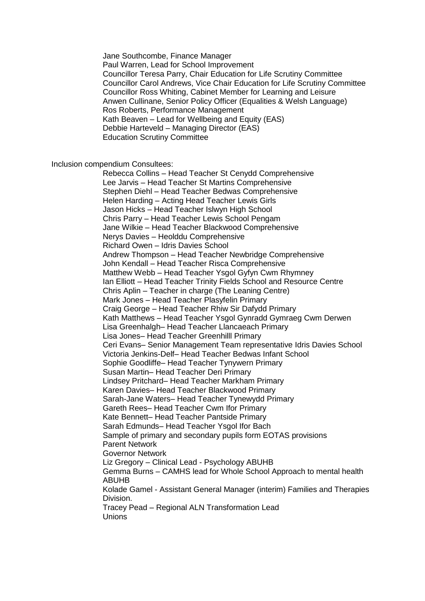Jane Southcombe, Finance Manager Paul Warren, Lead for School Improvement Councillor Teresa Parry, Chair Education for Life Scrutiny Committee Councillor Carol Andrews, Vice Chair Education for Life Scrutiny Committee Councillor Ross Whiting, Cabinet Member for Learning and Leisure Anwen Cullinane, Senior Policy Officer (Equalities & Welsh Language) Ros Roberts, Performance Management Kath Beaven – Lead for Wellbeing and Equity (EAS) Debbie Harteveld – Managing Director (EAS) Education Scrutiny Committee

Inclusion compendium Consultees:

Rebecca Collins – Head Teacher St Cenydd Comprehensive Lee Jarvis – Head Teacher St Martins Comprehensive Stephen Diehl – Head Teacher Bedwas Comprehensive Helen Harding – Acting Head Teacher Lewis Girls Jason Hicks – Head Teacher Islwyn High School Chris Parry – Head Teacher Lewis School Pengam Jane Wilkie – Head Teacher Blackwood Comprehensive Nerys Davies – Heolddu Comprehensive Richard Owen – Idris Davies School Andrew Thompson – Head Teacher Newbridge Comprehensive John Kendall – Head Teacher Risca Comprehensive Matthew Webb – Head Teacher Ysgol Gyfyn Cwm Rhymney Ian Elliott – Head Teacher Trinity Fields School and Resource Centre Chris Aplin – Teacher in charge (The Leaning Centre) Mark Jones – Head Teacher Plasyfelin Primary Craig George – Head Teacher Rhiw Sir Dafydd Primary Kath Matthews – Head Teacher Ysgol Gynradd Gymraeg Cwm Derwen Lisa Greenhalgh– Head Teacher Llancaeach Primary Lisa Jones– Head Teacher Greenhilll Primary Ceri Evans– Senior Management Team representative Idris Davies School Victoria Jenkins-Delf– Head Teacher Bedwas Infant School Sophie Goodliffe– Head Teacher Tynywern Primary Susan Martin– Head Teacher Deri Primary Lindsey Pritchard– Head Teacher Markham Primary Karen Davies– Head Teacher Blackwood Primary Sarah-Jane Waters– Head Teacher Tynewydd Primary Gareth Rees– Head Teacher Cwm Ifor Primary Kate Bennett– Head Teacher Pantside Primary Sarah Edmunds– Head Teacher Ysgol Ifor Bach Sample of primary and secondary pupils form EOTAS provisions Parent Network Governor Network Liz Gregory – Clinical Lead - Psychology ABUHB Gemma Burns – CAMHS lead for Whole School Approach to mental health ABUHB Kolade Gamel - Assistant General Manager (interim) Families and Therapies Division. Tracey Pead – Regional ALN Transformation Lead Unions